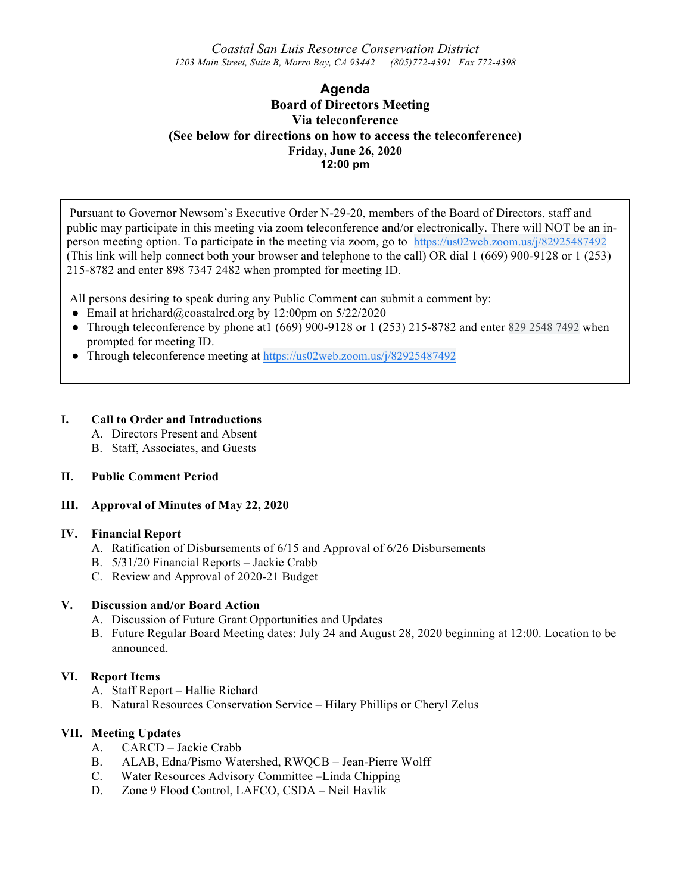*Coastal San Luis Resource Conservation District 1203 Main Street, Suite B, Morro Bay, CA 93442 (805)772-4391 Fax 772-4398*

# **Agenda Board of Directors Meeting Via teleconference (See below for directions on how to access the teleconference) Friday, June 26, 2020 12:00 pm**

Pursuant to Governor Newsom's Executive Order N-29-20, members of the Board of Directors, staff and public may participate in this meeting via zoom teleconference and/or electronically. There will NOT be an inperson meeting option. To participate in the meeting via zoom, go to https://us02web.zoom.us/j/82925487492 (This link will help connect both your browser and telephone to the call) OR dial 1 (669) 900-9128 or 1 (253) 215-8782 and enter 898 7347 2482 when prompted for meeting ID.

All persons desiring to speak during any Public Comment can submit a comment by:

- Email at hrichard@coastalrcd.org by 12:00pm on  $5/22/2020$
- Through teleconference by phone at  $(669)$  900-9128 or 1 (253) 215-8782 and enter 829 2548 7492 when prompted for meeting ID.
- Through teleconference meeting at https://us02web.zoom.us/j/82925487492

## **I. Call to Order and Introductions**

A. Directors Present and Absent

B. Staff, Associates, and Guests

## **II. Public Comment Period**

## **III. Approval of Minutes of May 22, 2020**

#### **IV. Financial Report**

- A. Ratification of Disbursements of 6/15 and Approval of 6/26 Disbursements
- B. 5/31/20 Financial Reports Jackie Crabb
- C. Review and Approval of 2020-21 Budget

#### **V. Discussion and/or Board Action**

- A. Discussion of Future Grant Opportunities and Updates
- B. Future Regular Board Meeting dates: July 24 and August 28, 2020 beginning at 12:00. Location to be announced.

## **VI. Report Items**

- A. Staff Report Hallie Richard
- B. Natural Resources Conservation Service Hilary Phillips or Cheryl Zelus

## **VII. Meeting Updates**

- A. CARCD Jackie Crabb
- B. ALAB, Edna/Pismo Watershed, RWQCB Jean-Pierre Wolff
- C. Water Resources Advisory Committee –Linda Chipping
- D. Zone 9 Flood Control, LAFCO, CSDA Neil Havlik